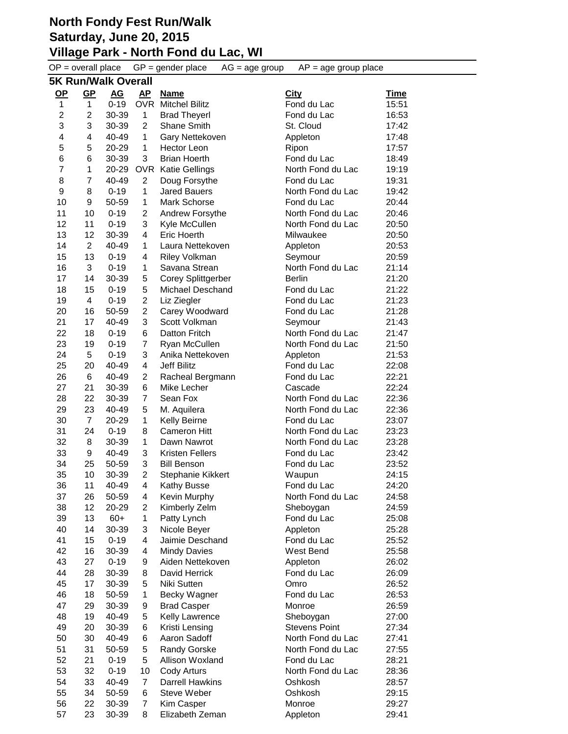|                         | $OP = overall place$       |                |                | $GP = gender place$                   | $AP = age$ group place<br>$AG = age$ group |                |  |
|-------------------------|----------------------------|----------------|----------------|---------------------------------------|--------------------------------------------|----------------|--|
|                         | <b>5K Run/Walk Overall</b> |                |                |                                       |                                            |                |  |
| <u>OP</u>               | GP                         | AG             | AP.            | <b>Name</b>                           | City                                       | Time           |  |
| $\mathbf{1}$            | $\mathbf 1$                | $0 - 19$       |                | <b>OVR</b> Mitchel Bilitz             | Fond du Lac                                | 15:51          |  |
| $\overline{\mathbf{c}}$ | $\overline{\mathbf{c}}$    | 30-39          | $\mathbf{1}$   | <b>Brad Theyerl</b>                   | Fond du Lac                                | 16:53          |  |
| 3                       | 3                          | 30-39          | $\overline{c}$ | Shane Smith                           | St. Cloud                                  | 17:42          |  |
| 4                       | 4                          | 40-49          | 1              | Gary Nettekoven                       | Appleton                                   | 17:48          |  |
| 5                       | 5                          | 20-29          | 1              | Hector Leon                           | Ripon                                      | 17:57          |  |
| 6                       | 6                          | 30-39          | 3              | <b>Brian Hoerth</b>                   | Fond du Lac                                | 18:49          |  |
| 7                       | $\mathbf{1}$               | 20-29          |                | <b>OVR</b> Katie Gellings             | North Fond du Lac                          | 19:19          |  |
| 8                       | 7                          | 40-49          | 2              | Doug Forsythe                         | Fond du Lac                                | 19:31          |  |
| 9                       | 8                          | $0 - 19$       | 1              | <b>Jared Bauers</b>                   | North Fond du Lac                          | 19:42          |  |
| 10                      | 9                          | 50-59          | 1              | Mark Schorse                          | Fond du Lac                                | 20:44          |  |
| 11                      | 10                         | $0 - 19$       | 2              | Andrew Forsythe                       | North Fond du Lac                          | 20:46          |  |
| 12                      | 11                         | $0 - 19$       | 3              | Kyle McCullen                         | North Fond du Lac                          | 20:50          |  |
| 13                      | 12                         | 30-39          | 4              | Eric Hoerth                           | Milwaukee                                  | 20:50          |  |
| 14                      | $\overline{2}$             | 40-49          | 1              | Laura Nettekoven                      | Appleton                                   | 20:53          |  |
| 15                      | 13                         | $0 - 19$       | 4              | Riley Volkman                         | Seymour                                    | 20:59          |  |
| 16                      | 3                          | $0 - 19$       | 1              | Savana Strean                         | North Fond du Lac                          | 21:14          |  |
| 17                      | 14                         | 30-39          | 5              | <b>Corey Splittgerber</b>             | <b>Berlin</b>                              | 21:20          |  |
| 18                      | 15                         | $0 - 19$       | 5              | Michael Deschand                      | Fond du Lac                                | 21:22          |  |
| 19                      | 4                          | $0 - 19$       | $\overline{c}$ | Liz Ziegler                           | Fond du Lac                                | 21:23          |  |
| 20                      | 16                         | 50-59          | $\overline{c}$ | Carey Woodward                        | Fond du Lac                                | 21:28          |  |
| 21                      | 17                         | 40-49          | 3              | Scott Volkman                         | Seymour                                    | 21:43          |  |
| 22                      | 18                         | $0 - 19$       | 6              | Datton Fritch                         | North Fond du Lac                          | 21:47          |  |
| 23                      | 19                         | $0 - 19$       | 7              | Ryan McCullen                         | North Fond du Lac                          | 21:50          |  |
| 24                      | 5                          | $0 - 19$       | 3              | Anika Nettekoven                      | Appleton                                   | 21:53          |  |
| 25                      | 20                         | 40-49          | 4              | <b>Jeff Bilitz</b>                    | Fond du Lac                                | 22:08          |  |
| 26                      | 6                          | 40-49          | $\overline{2}$ | Racheal Bergmann                      | Fond du Lac                                | 22:21          |  |
| 27                      | 21                         | 30-39          | 6              | Mike Lecher                           | Cascade                                    | 22:24          |  |
| 28                      | 22                         | 30-39          | $\overline{7}$ | Sean Fox                              | North Fond du Lac                          | 22:36          |  |
| 29                      | 23                         | 40-49          | 5              | M. Aquilera                           | North Fond du Lac                          | 22:36          |  |
| 30                      | $\overline{7}$             | 20-29          | 1              | Kelly Beirne                          | Fond du Lac                                | 23:07          |  |
| 31<br>32                | 24                         | $0 - 19$       | 8              | Cameron Hitt                          | North Fond du Lac                          | 23:23          |  |
| 33                      | 8<br>9                     | 30-39<br>40-49 | 1<br>3         | Dawn Nawrot<br><b>Kristen Fellers</b> | North Fond du Lac<br>Fond du Lac           | 23:28<br>23:42 |  |
| 34                      | 25                         | 50-59          | 3              | <b>Bill Benson</b>                    | Fond du Lac                                | 23:52          |  |
| 35                      | 10                         | 30-39          | 2              | Stephanie Kikkert                     |                                            | 24:15          |  |
| 36                      | 11                         | 40-49          | 4              | Kathy Busse                           | Waupun<br>Fond du Lac                      | 24:20          |  |
| 37                      | 26                         | 50-59          | 4              | Kevin Murphy                          | North Fond du Lac                          | 24:58          |  |
| 38                      | 12                         | 20-29          | 2              | Kimberly Zelm                         | Sheboygan                                  | 24:59          |  |
| 39                      | 13                         | $60+$          | 1              | Patty Lynch                           | Fond du Lac                                | 25:08          |  |
| 40                      | 14                         | 30-39          | 3              | Nicole Beyer                          | Appleton                                   | 25:28          |  |
| 41                      | 15                         | $0 - 19$       | 4              | Jaimie Deschand                       | Fond du Lac                                | 25:52          |  |
| 42                      | 16                         | 30-39          | 4              | <b>Mindy Davies</b>                   | West Bend                                  | 25:58          |  |
| 43                      | 27                         | $0 - 19$       | 9              | Aiden Nettekoven                      | Appleton                                   | 26:02          |  |
| 44                      | 28                         | 30-39          | 8              | David Herrick                         | Fond du Lac                                | 26:09          |  |
| 45                      | 17                         | 30-39          | 5              | Niki Sutten                           | Omro                                       | 26:52          |  |
| 46                      | 18                         | 50-59          | $\mathbf{1}$   | Becky Wagner                          | Fond du Lac                                | 26:53          |  |
| 47                      | 29                         | 30-39          | 9              | <b>Brad Casper</b>                    | Monroe                                     | 26:59          |  |
| 48                      | 19                         | 40-49          | 5              | Kelly Lawrence                        | Sheboygan                                  | 27:00          |  |
| 49                      | 20                         | 30-39          | 6              | Kristi Lensing                        | <b>Stevens Point</b>                       | 27:34          |  |
| 50                      | 30                         | 40-49          | 6              | Aaron Sadoff                          | North Fond du Lac                          | 27:41          |  |
| 51                      | 31                         | 50-59          | 5              | Randy Gorske                          | North Fond du Lac                          | 27:55          |  |
| 52                      | 21                         | $0 - 19$       | 5              | Allison Woxland                       | Fond du Lac                                | 28:21          |  |
| 53                      | 32                         | $0 - 19$       | 10             | Cody Arturs                           | North Fond du Lac                          | 28:36          |  |
| 54                      | 33                         | 40-49          | 7              | <b>Darrell Hawkins</b>                | Oshkosh                                    | 28:57          |  |
| 55                      | 34                         | 50-59          | 6              | Steve Weber                           | Oshkosh                                    | 29:15          |  |
| 56                      | 22                         | 30-39          | $\overline{7}$ | Kim Casper                            | Monroe                                     | 29:27          |  |
| 57                      | 23                         | 30-39          | 8              | Elizabeth Zeman                       | Appleton                                   | 29:41          |  |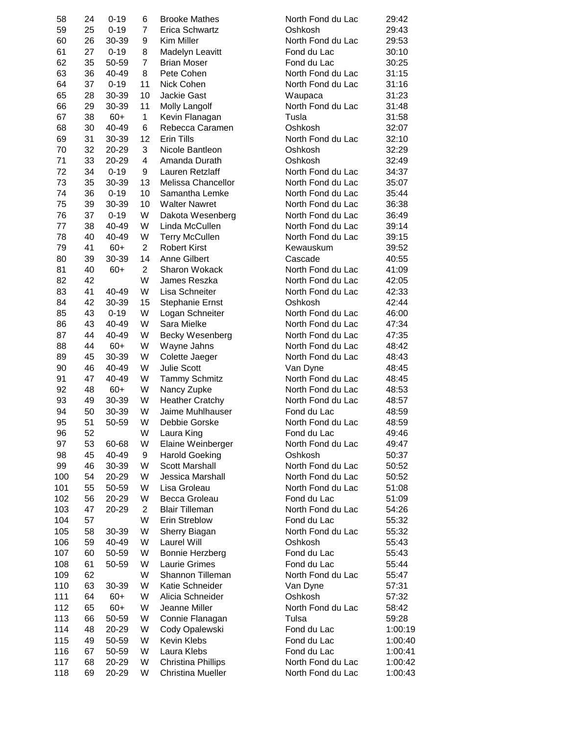| 58  | 24 | $0 - 19$ | 6              | <b>Brooke Mathes</b>      | North Fond du Lac | 29:42   |
|-----|----|----------|----------------|---------------------------|-------------------|---------|
| 59  | 25 | $0 - 19$ | 7              | Erica Schwartz            | Oshkosh           | 29:43   |
| 60  | 26 | 30-39    | 9              | Kim Miller                | North Fond du Lac | 29:53   |
| 61  | 27 | $0 - 19$ | 8              | Madelyn Leavitt           | Fond du Lac       | 30:10   |
| 62  | 35 | 50-59    | $\overline{7}$ | <b>Brian Moser</b>        | Fond du Lac       | 30:25   |
| 63  | 36 | 40-49    | 8              | Pete Cohen                | North Fond du Lac | 31:15   |
| 64  | 37 | $0 - 19$ | 11             | Nick Cohen                | North Fond du Lac | 31:16   |
| 65  | 28 | 30-39    | 10             | <b>Jackie Gast</b>        | Waupaca           | 31:23   |
| 66  | 29 | 30-39    | 11             | Molly Langolf             | North Fond du Lac | 31:48   |
| 67  | 38 | $60+$    | 1              | Kevin Flanagan            | Tusla             | 31:58   |
| 68  | 30 | 40-49    | 6              | Rebecca Caramen           | Oshkosh           | 32:07   |
| 69  | 31 | 30-39    | 12             | <b>Erin Tills</b>         | North Fond du Lac | 32:10   |
| 70  | 32 | 20-29    | 3              | Nicole Bantleon           | Oshkosh           | 32:29   |
| 71  | 33 | 20-29    | 4              | Amanda Durath             | Oshkosh           | 32:49   |
| 72  | 34 | $0 - 19$ | 9              | Lauren Retzlaff           | North Fond du Lac | 34:37   |
| 73  |    |          |                |                           |                   |         |
|     | 35 | 30-39    | 13             | Melissa Chancellor        | North Fond du Lac | 35:07   |
| 74  | 36 | $0 - 19$ | 10             | Samantha Lemke            | North Fond du Lac | 35:44   |
| 75  | 39 | 30-39    | 10             | <b>Walter Nawret</b>      | North Fond du Lac | 36:38   |
| 76  | 37 | $0 - 19$ | W              | Dakota Wesenberg          | North Fond du Lac | 36:49   |
| 77  | 38 | 40-49    | W              | Linda McCullen            | North Fond du Lac | 39:14   |
| 78  | 40 | 40-49    | W              | <b>Terry McCullen</b>     | North Fond du Lac | 39:15   |
| 79  | 41 | $60+$    | $\overline{2}$ | <b>Robert Kirst</b>       | Kewauskum         | 39:52   |
| 80  | 39 | 30-39    | 14             | Anne Gilbert              | Cascade           | 40:55   |
| 81  | 40 | $60+$    | $\overline{2}$ | <b>Sharon Wokack</b>      | North Fond du Lac | 41:09   |
| 82  | 42 |          | W              | James Reszka              | North Fond du Lac | 42:05   |
| 83  | 41 | 40-49    | W              | Lisa Schneiter            | North Fond du Lac | 42:33   |
| 84  | 42 | 30-39    | 15             | <b>Stephanie Ernst</b>    | Oshkosh           | 42:44   |
| 85  | 43 | $0 - 19$ | W              | Logan Schneiter           | North Fond du Lac | 46:00   |
| 86  | 43 | 40-49    | W              | Sara Mielke               | North Fond du Lac | 47:34   |
| 87  | 44 | 40-49    | W              | <b>Becky Wesenberg</b>    | North Fond du Lac | 47:35   |
| 88  | 44 | $60+$    | W              | Wayne Jahns               | North Fond du Lac | 48:42   |
| 89  | 45 | 30-39    | W              | Colette Jaeger            | North Fond du Lac | 48:43   |
| 90  | 46 | 40-49    | W              | <b>Julie Scott</b>        | Van Dyne          | 48:45   |
| 91  | 47 | 40-49    | W              | <b>Tammy Schmitz</b>      | North Fond du Lac | 48:45   |
| 92  | 48 | $60+$    | W              | Nancy Zupke               | North Fond du Lac | 48:53   |
| 93  | 49 | 30-39    | W              | <b>Heather Cratchy</b>    | North Fond du Lac | 48:57   |
| 94  | 50 |          | W              | Jaime Muhlhauser          |                   |         |
|     |    | 30-39    |                |                           | Fond du Lac       | 48:59   |
| 95  | 51 | 50-59    | W              | Debbie Gorske             | North Fond du Lac | 48:59   |
| 96  | 52 |          | W              | Laura King                | Fond du Lac       | 49:46   |
| 97  | 53 | 60-68    | W              | Elaine Weinberger         | North Fond du Lac | 49:47   |
| 98  | 45 | 40-49    | 9              | <b>Harold Goeking</b>     | Oshkosh           | 50:37   |
| 99  | 46 | 30-39    | W              | Scott Marshall            | North Fond du Lac | 50:52   |
| 100 | 54 | 20-29    | W              | Jessica Marshall          | North Fond du Lac | 50:52   |
| 101 | 55 | 50-59    | W              | Lisa Groleau              | North Fond du Lac | 51:08   |
| 102 | 56 | 20-29    | W              | Becca Groleau             | Fond du Lac       | 51:09   |
| 103 | 47 | 20-29    | 2              | <b>Blair Tilleman</b>     | North Fond du Lac | 54:26   |
| 104 | 57 |          | W              | <b>Erin Streblow</b>      | Fond du Lac       | 55:32   |
| 105 | 58 | 30-39    | W              | Sherry Biagan             | North Fond du Lac | 55:32   |
| 106 | 59 | 40-49    | W              | Laurel Will               | Oshkosh           | 55:43   |
| 107 | 60 | 50-59    | W              | Bonnie Herzberg           | Fond du Lac       | 55:43   |
| 108 | 61 | 50-59    | W              | <b>Laurie Grimes</b>      | Fond du Lac       | 55:44   |
| 109 | 62 |          | W              | Shannon Tilleman          | North Fond du Lac | 55:47   |
| 110 | 63 | 30-39    | W              | Katie Schneider           | Van Dyne          | 57:31   |
| 111 | 64 | $60+$    | W              | Alicia Schneider          | Oshkosh           | 57:32   |
| 112 | 65 | $60+$    | W              | Jeanne Miller             | North Fond du Lac | 58:42   |
| 113 | 66 |          | W              | Connie Flanagan           | Tulsa             | 59:28   |
| 114 | 48 | 50-59    | W              | Cody Opalewski            | Fond du Lac       | 1:00:19 |
|     |    | 20-29    |                |                           |                   |         |
| 115 | 49 | 50-59    | W              | Kevin Klebs               | Fond du Lac       | 1:00:40 |
| 116 | 67 | 50-59    | W              | Laura Klebs               | Fond du Lac       | 1:00:41 |
| 117 | 68 | 20-29    | W              | <b>Christina Phillips</b> | North Fond du Lac | 1:00:42 |
| 118 | 69 | 20-29    | W              | <b>Christina Mueller</b>  | North Fond du Lac | 1:00:43 |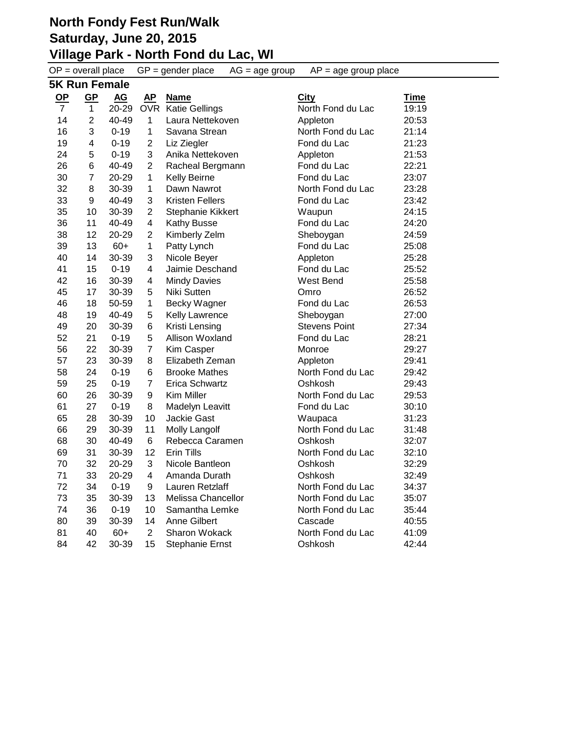**Village Park - North Fond du Lac, WI**

 $OP =$  overall place  $GP =$  gender place  $AG =$  age group  $AP =$  age group place **5K Run Female OP GP AG AP Name City Time OP GP AG AP Name**<br> **AC ZO-29 OVR** Katie Gellings North Fond du Lac 19:19 2 40-49 1 Laura Nettekoven Appleton 20:53 3 0-19 1 Savana Strean North Fond du Lac 21:14 4 0-19 2 Liz Ziegler Fond du Lac 21:23 5 0-19 3 Anika Nettekoven Appleton 21:53 6 40-49 2 Racheal Bergmann Fond du Lac 22:21 7 20-29 1 Kelly Beirne Fond du Lac 23:07 8 30-39 1 Dawn Nawrot North Fond du Lac 23:28 9 40-49 3 Kristen Fellers Fond du Lac 23:42 10 30-39 2 Stephanie Kikkert Waupun 24:15 11 40-49 4 Kathy Busse Fond du Lac 24:20 12 20-29 2 Kimberly Zelm Sheboygan 24:59 13 60+ 1 Patty Lynch Fond du Lac 25:08 14 30-39 3 Nicole Beyer Appleton 25:28 15 0-19 4 Jaimie Deschand Fond du Lac 25:52 16 30-39 4 Mindy Davies West Bend 25:58 17 30-39 5 Niki Sutten Omro 26:52 18 50-59 1 Becky Wagner Fond du Lac 26:53 19 40-49 5 Kelly Lawrence Sheboygan 27:00 20 30-39 6 Kristi Lensing Stevens Point 27:34 21 0-19 5 Allison Woxland Fond du Lac 28:21 22 30-39 7 Kim Casper Monroe 29:27 23 30-39 8 Elizabeth Zeman Appleton 29:41 24 0-19 6 Brooke Mathes North Fond du Lac 29:42 25 0-19 7 Erica Schwartz Oshkosh 29:43 26 30-39 9 Kim Miller North Fond du Lac 29:53 27 0-19 8 Madelyn Leavitt Fond du Lac 30:10 28 30-39 10 Jackie Gast Waupaca 31:23 29 30-39 11 Molly Langolf North Fond du Lac 31:48 30 40-49 6 Rebecca Caramen Oshkosh 32:07 31 30-39 12 Erin Tills North Fond du Lac 32:10 32 20-29 3 Nicole Bantleon Oshkosh 32:29 33 20-29 4 Amanda Durath Oshkosh 32:49 34 0-19 9 Lauren Retzlaff North Fond du Lac 34:37 35 30-39 13 Melissa Chancellor North Fond du Lac 35:07 36 0-19 10 Samantha Lemke North Fond du Lac 35:44 39 30-39 14 Anne Gilbert Cascade 40:55 40 60+ 2 Sharon Wokack North Fond du Lac 41:09 42 30-39 15 Stephanie Ernst Oshkosh 42:44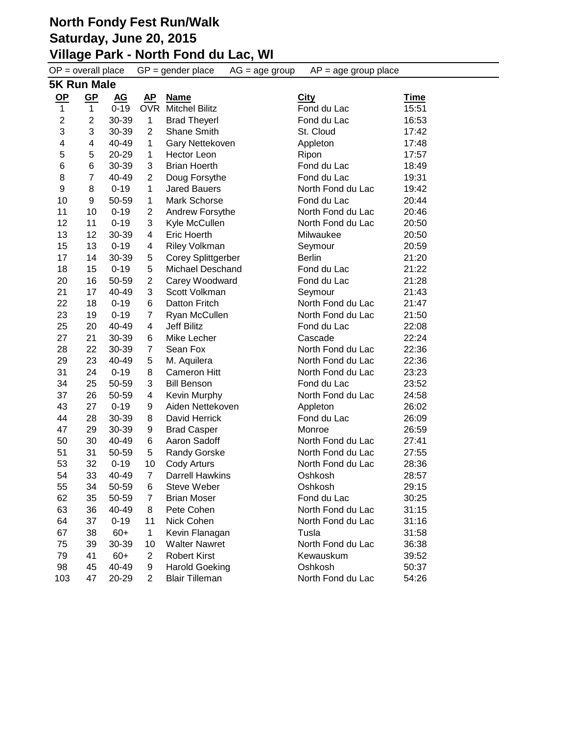#### **North Fondy Fest Run/Walk Saturday, June 20, 2015 Village Park - North Fond du Lac, WI**

 $OP =$  overall place  $GP =$  gender place  $AG =$  age group  $AP =$  age group place **5K Run Male OP GP AG AP Name City Time** 1 1 0-19 OVR Mitchel Bilitz City<br>1 1 0-19 OVR Mitchel Bilitz Fond du Lac 15:51 2 30-39 1 Brad Theyerl Fond du Lac 16:53 3 30-39 2 Shane Smith St. Cloud 17:42 4 40-49 1 Gary Nettekoven Appleton 17:48 5 20-29 1 Hector Leon Ripon 17:57 6 30-39 3 Brian Hoerth Fond du Lac 18:49 8 7 40-49 2 Doug Forsythe Fond du Lac 19:31 8 0-19 1 Jared Bauers North Fond du Lac 19:42 9 50-59 1 Mark Schorse Fond du Lac 20:44 10 0-19 2 Andrew Forsythe North Fond du Lac 20:46 11 0-19 3 Kyle McCullen North Fond du Lac 20:50 12 30-39 4 Eric Hoerth Milwaukee 20:50 13 0-19 4 Riley Volkman Seymour 20:59 14 30-39 5 Corey Splittgerber Berlin 21:20 18 15 0-19 5 Michael Deschand Fond du Lac 21:22 16 50-59 2 Carey Woodward Fond du Lac 21:28 21 17 40-49 3 Scott Volkman Seymour Sewmour 21:43 22 18 0-19 6 Datton Fritch North Fond du Lac 21:47 19 0-19 7 Ryan McCullen North Fond du Lac 21:50 20 40-49 4 Jeff Bilitz Fond du Lac 22:08 21 30-39 6 Mike Lecher Cascade 22:24 22 30-39 7 Sean Fox North Fond du Lac 22:36 23 40-49 5 M. Aquilera North Fond du Lac 22:36 24 0-19 8 Cameron Hitt North Fond du Lac 23:23 25 50-59 3 Bill Benson Fond du Lac 23:52 26 50-59 4 Kevin Murphy North Fond du Lac 24:58 27 0-19 9 Aiden Nettekoven Appleton 26:02 28 30-39 8 David Herrick Fond du Lac 26:09 29 30-39 9 Brad Casper Monroe 26:59 30 40-49 6 Aaron Sadoff North Fond du Lac 27:41 51 31 50-59 5 Randy Gorske North Fond du Lac 27:55 53 32 0-19 10 Cody Arturs North Fond du Lac 28:36 33 40-49 7 Darrell Hawkins Oshkosh 28:57 34 50-59 6 Steve Weber Oshkosh 29:15 35 50-59 7 Brian Moser Fond du Lac 30:25 36 40-49 8 Pete Cohen North Fond du Lac 31:15 64 37 0-19 11 Nick Cohen North Fond du Lac 31:16 38 60+ 1 Kevin Flanagan Tusla 31:58 75 39 30-39 10 Walter Nawret North Fond du Lac 36:38 41 60+ 2 Robert Kirst Kewauskum 39:52 45 40-49 9 Harold Goeking Oshkosh 50:37 103 47 20-29 2 Blair Tilleman North Fond du Lac 54:26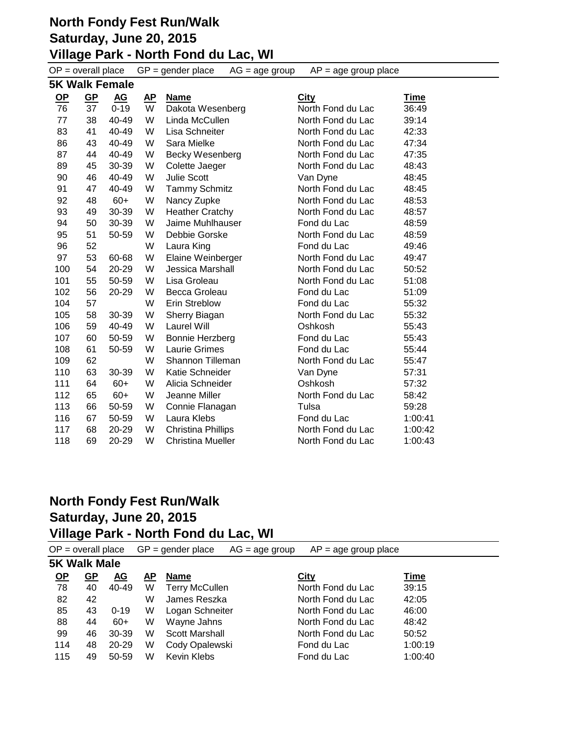# **North Fondy Fest Run/Walk Saturday, June 20, 2015 Village Park - North Fond du Lac, WI**

|           | $OP = overall place$  |           |           | $GP = gender place$       | $AG = age$ group | $AP = age$ group place |             |
|-----------|-----------------------|-----------|-----------|---------------------------|------------------|------------------------|-------------|
|           | <b>5K Walk Female</b> |           |           |                           |                  |                        |             |
| <u>OP</u> | $GP$                  | <u>AG</u> | <u>AP</u> | <b>Name</b>               |                  | <b>City</b>            | <u>Time</u> |
| 76        | 37                    | $0 - 19$  | W         | Dakota Wesenberg          |                  | North Fond du Lac      | 36:49       |
| 77        | 38                    | 40-49     | W         | Linda McCullen            |                  | North Fond du Lac      | 39:14       |
| 83        | 41                    | 40-49     | W         | Lisa Schneiter            |                  | North Fond du Lac      | 42:33       |
| 86        | 43                    | 40-49     | W         | Sara Mielke               |                  | North Fond du Lac      | 47:34       |
| 87        | 44                    | 40-49     | W         | Becky Wesenberg           |                  | North Fond du Lac      | 47:35       |
| 89        | 45                    | 30-39     | W         | Colette Jaeger            |                  | North Fond du Lac      | 48:43       |
| 90        | 46                    | 40-49     | W         | <b>Julie Scott</b>        |                  | Van Dyne               | 48:45       |
| 91        | 47                    | 40-49     | W         | <b>Tammy Schmitz</b>      |                  | North Fond du Lac      | 48:45       |
| 92        | 48                    | $60+$     | W         | Nancy Zupke               |                  | North Fond du Lac      | 48:53       |
| 93        | 49                    | 30-39     | W         | <b>Heather Cratchy</b>    |                  | North Fond du Lac      | 48:57       |
| 94        | 50                    | 30-39     | W         | Jaime Muhlhauser          |                  | Fond du Lac            | 48:59       |
| 95        | 51                    | 50-59     | W         | Debbie Gorske             |                  | North Fond du Lac      | 48:59       |
| 96        | 52                    |           | W         | Laura King                |                  | Fond du Lac            | 49:46       |
| 97        | 53                    | 60-68     | W         | Elaine Weinberger         |                  | North Fond du Lac      | 49:47       |
| 100       | 54                    | 20-29     | W         | <b>Jessica Marshall</b>   |                  | North Fond du Lac      | 50:52       |
| 101       | 55                    | 50-59     | W         | Lisa Groleau              |                  | North Fond du Lac      | 51:08       |
| 102       | 56                    | 20-29     | W         | Becca Groleau             |                  | Fond du Lac            | 51:09       |
| 104       | 57                    |           | W         | <b>Erin Streblow</b>      |                  | Fond du Lac            | 55:32       |
| 105       | 58                    | 30-39     | W         | Sherry Biagan             |                  | North Fond du Lac      | 55:32       |
| 106       | 59                    | 40-49     | W         | Laurel Will               |                  | Oshkosh                | 55:43       |
| 107       | 60                    | 50-59     | W         | Bonnie Herzberg           |                  | Fond du Lac            | 55:43       |
| 108       | 61                    | 50-59     | W         | <b>Laurie Grimes</b>      |                  | Fond du Lac            | 55:44       |
| 109       | 62                    |           | W         | Shannon Tilleman          |                  | North Fond du Lac      | 55:47       |
| 110       | 63                    | 30-39     | W         | Katie Schneider           |                  | Van Dyne               | 57:31       |
| 111       | 64                    | $60+$     | W         | Alicia Schneider          |                  | Oshkosh                | 57:32       |
| 112       | 65                    | $60+$     | W         | Jeanne Miller             |                  | North Fond du Lac      | 58:42       |
| 113       | 66                    | 50-59     | W         | Connie Flanagan           |                  | Tulsa                  | 59:28       |
| 116       | 67                    | 50-59     | W         | Laura Klebs               |                  | Fond du Lac            | 1:00:41     |
| 117       | 68                    | 20-29     | W         | <b>Christina Phillips</b> |                  | North Fond du Lac      | 1:00:42     |
| 118       | 69                    | 20-29     | W         | <b>Christina Mueller</b>  |                  | North Fond du Lac      | 1:00:43     |

|      | $OP = overall place$<br>$GP = gender place$<br>$AG = age$ group<br>$AP = age$ group place |           |    |                       |                   |             |  |
|------|-------------------------------------------------------------------------------------------|-----------|----|-----------------------|-------------------|-------------|--|
|      | <b>5K Walk Male</b>                                                                       |           |    |                       |                   |             |  |
| $OP$ | <u>GP</u>                                                                                 | <u>AG</u> | АP | Name                  | <b>City</b>       | <u>Time</u> |  |
| 78   | 40                                                                                        | 40-49     | W  | <b>Terry McCullen</b> | North Fond du Lac | 39:15       |  |
| 82   | 42                                                                                        |           | W  | James Reszka          | North Fond du Lac | 42:05       |  |
| 85   | 43                                                                                        | $0 - 19$  | W  | Logan Schneiter       | North Fond du Lac | 46:00       |  |
| 88   | 44                                                                                        | $60+$     | W  | Wayne Jahns           | North Fond du Lac | 48:42       |  |
| 99   | 46                                                                                        | $30 - 39$ | W  | Scott Marshall        | North Fond du Lac | 50:52       |  |
| 114  | 48                                                                                        | 20-29     | W  | Cody Opalewski        | Fond du Lac       | 1:00:19     |  |
| 115  | 49                                                                                        | 50-59     | W  | Kevin Klebs           | Fond du Lac       | 1:00:40     |  |
|      |                                                                                           |           |    |                       |                   |             |  |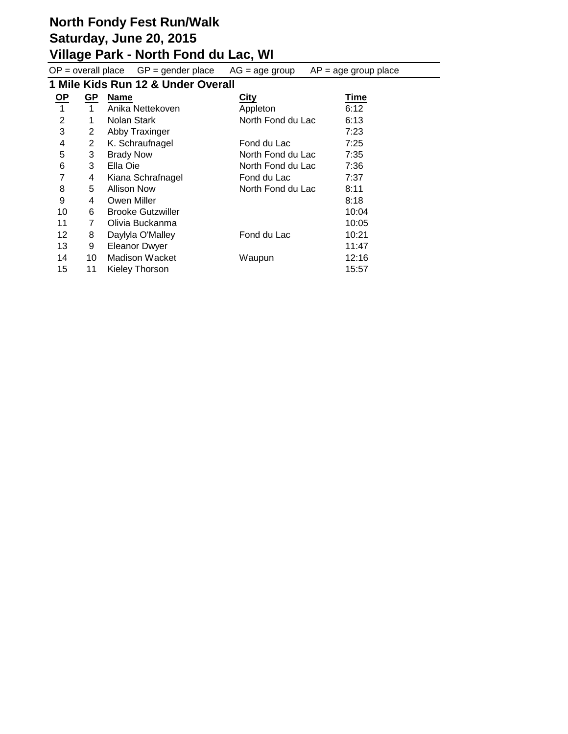### **Village Park - North Fond du Lac, WI**

 $OP =$  overall place  $GP =$  gender place  $AG =$  age group  $AP =$  age group place **1 Mile Kids Run 12 & Under Overall OP GP Name City Time** 1 1 Anika Nettekoven Appleton 6:12 2 1 Nolan Stark North Fond du Lac 6:13

| 3  | 2  | Abby Traxinger           |                   | 7:23  |
|----|----|--------------------------|-------------------|-------|
| 4  | 2  | K. Schraufnagel          | Fond du Lac       | 7:25  |
| 5  | 3  | <b>Brady Now</b>         | North Fond du Lac | 7:35  |
| 6  | 3  | Ella Oie                 | North Fond du Lac | 7:36  |
| 7  | 4  | Kiana Schrafnagel        | Fond du Lac       | 7:37  |
| 8  | 5  | <b>Allison Now</b>       | North Fond du Lac | 8:11  |
| 9  | 4  | Owen Miller              |                   | 8:18  |
| 10 | 6  | <b>Brooke Gutzwiller</b> |                   | 10:04 |
| 11 | 7  | Olivia Buckanma          |                   | 10:05 |
| 12 | 8  | Daylyla O'Malley         | Fond du Lac       | 10:21 |
| 13 | 9  | <b>Eleanor Dwyer</b>     |                   | 11:47 |
| 14 | 10 | <b>Madison Wacket</b>    | Waupun            | 12:16 |
| 15 | 11 | Kieley Thorson           |                   | 15:57 |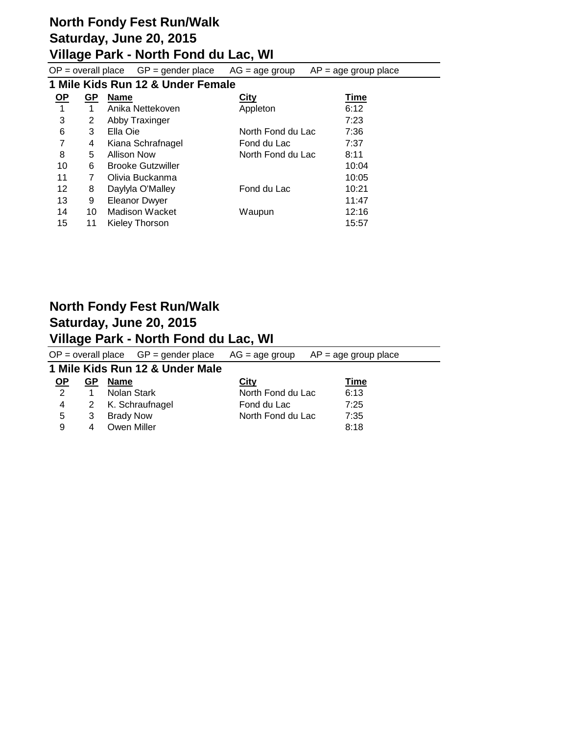# **Village Park - North Fond du Lac, WI**

|      |                                   | $OP = overall place$ $GP = gender place$ | $AG = age$ group  | $AP = age$ group place |  |  |  |  |
|------|-----------------------------------|------------------------------------------|-------------------|------------------------|--|--|--|--|
|      | 1 Mile Kids Run 12 & Under Female |                                          |                   |                        |  |  |  |  |
| $OP$ | <u>GP</u>                         | <b>Name</b>                              | <b>City</b>       | Time                   |  |  |  |  |
| 1    | 1                                 | Anika Nettekoven                         | Appleton          | 6:12                   |  |  |  |  |
| 3    | 2                                 | Abby Traxinger                           |                   | 7:23                   |  |  |  |  |
| 6    | 3                                 | Ella Oie                                 | North Fond du Lac | 7:36                   |  |  |  |  |
| 7    | 4                                 | Kiana Schrafnagel                        | Fond du Lac       | 7:37                   |  |  |  |  |
| 8    | 5                                 | <b>Allison Now</b>                       | North Fond du Lac | 8:11                   |  |  |  |  |
| 10   | 6                                 | <b>Brooke Gutzwiller</b>                 |                   | 10:04                  |  |  |  |  |
| 11   | 7                                 | Olivia Buckanma                          |                   | 10:05                  |  |  |  |  |
| 12   | 8                                 | Daylyla O'Malley                         | Fond du Lac       | 10:21                  |  |  |  |  |
| 13   | 9                                 | <b>Eleanor Dwyer</b>                     |                   | 11:47                  |  |  |  |  |
| 14   | 10                                | Madison Wacket                           | Waupun            | 12:16                  |  |  |  |  |
| 15   | 11                                | Kieley Thorson                           |                   | 15:57                  |  |  |  |  |

|           |    | $OP =$ overall place $GP =$ gender place $AG =$ age group |                   | $AP = age$ group place |  |
|-----------|----|-----------------------------------------------------------|-------------------|------------------------|--|
|           |    | 1 Mile Kids Run 12 & Under Male                           |                   |                        |  |
| <u>OP</u> | GP | <b>Name</b>                                               | City              | <u>Time</u>            |  |
| 2         |    | Nolan Stark                                               | North Fond du Lac | 6:13                   |  |
| 4         | 2  | K. Schraufnagel                                           | Fond du Lac       | 7:25                   |  |
| 5         | 3  | <b>Brady Now</b>                                          | North Fond du Lac | 7:35                   |  |
| 9         | 4  | Owen Miller                                               |                   | 8:18                   |  |
|           |    |                                                           |                   |                        |  |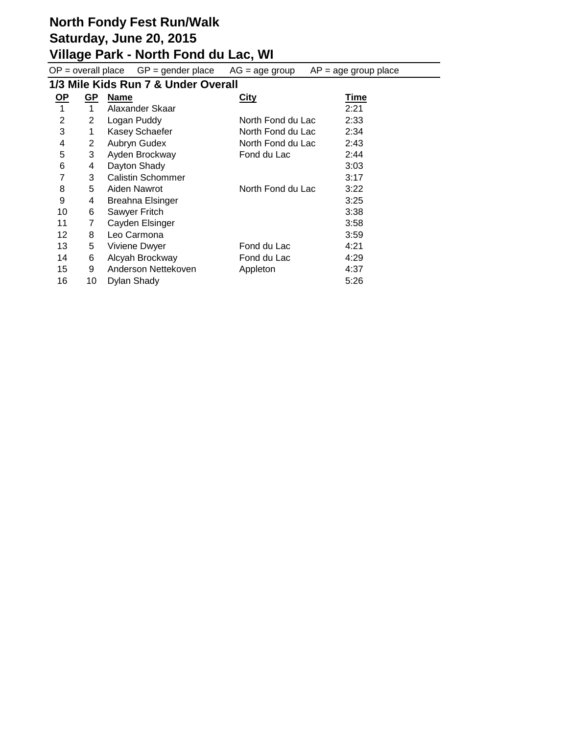### **Village Park - North Fond du Lac, WI**

 $OP =$  overall place  $GP =$  gender place  $AG =$  age group  $AP =$  age group place

# **1/3 Mile Kids Run 7 & Under Overall**

| <u>OP</u>      | GP | <b>Name</b>              | <b>City</b>       | <b>Time</b> |
|----------------|----|--------------------------|-------------------|-------------|
| 1              | 1  | Alaxander Skaar          |                   | 2:21        |
| $\overline{2}$ | 2  | Logan Puddy              | North Fond du Lac | 2:33        |
| 3              | 1  | Kasey Schaefer           | North Fond du Lac | 2:34        |
| 4              | 2  | Aubryn Gudex             | North Fond du Lac | 2:43        |
| 5              | 3  | Ayden Brockway           | Fond du Lac       | 2:44        |
| 6              | 4  | Dayton Shady             |                   | 3:03        |
| 7              | 3  | <b>Calistin Schommer</b> |                   | 3:17        |
| 8              | 5  | Aiden Nawrot             | North Fond du Lac | 3:22        |
| 9              | 4  | Breahna Elsinger         |                   | 3:25        |
| 10             | 6  | Sawyer Fritch            |                   | 3:38        |
| 11             | 7  | Cayden Elsinger          |                   | 3:58        |
| 12             | 8  | Leo Carmona              |                   | 3:59        |
| 13             | 5  | Viviene Dwyer            | Fond du Lac       | 4:21        |
| 14             | 6  | Alcyah Brockway          | Fond du Lac       | 4:29        |
| 15             | 9  | Anderson Nettekoven      | Appleton          | 4:37        |
| 16             | 10 | Dylan Shady              |                   | 5:26        |